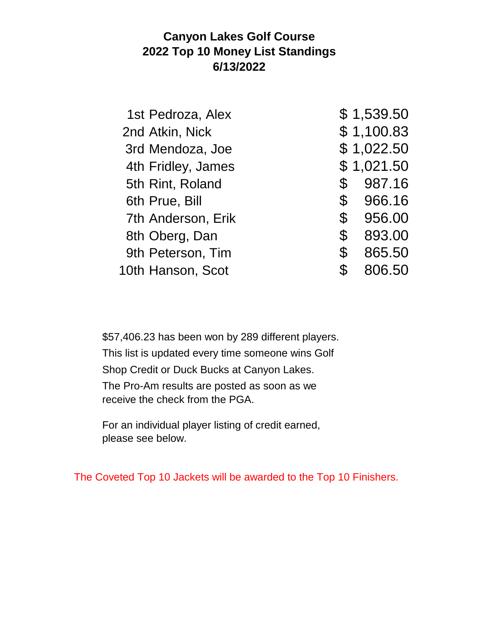## **Canyon Lakes Golf Course 2022 Top 10 Money List Standings 6/13/2022**

|                | 1st Pedroza, Alex  |             | \$1,539.50 |
|----------------|--------------------|-------------|------------|
|                | 2nd Atkin, Nick    |             | \$1,100.83 |
|                | 3rd Mendoza, Joe   |             | \$1,022.50 |
|                | 4th Fridley, James |             | \$1,021.50 |
|                | 5th Rint, Roland   | \$          | 987.16     |
| 6th Prue, Bill |                    | $\mathbb S$ | 966.16     |
|                | 7th Anderson, Erik | $\mathbb S$ | 956.00     |
|                | 8th Oberg, Dan     | \$          | 893.00     |
|                | 9th Peterson, Tim  | \$          | 865.50     |
|                | 10th Hanson, Scot  | \$          | 806.50     |

\$57,406.23 has been won by 289 different players. This list is updated every time someone wins Golf Shop Credit or Duck Bucks at Canyon Lakes. The Pro-Am results are posted as soon as we receive the check from the PGA.

For an individual player listing of credit earned, please see below.

The Coveted Top 10 Jackets will be awarded to the Top 10 Finishers.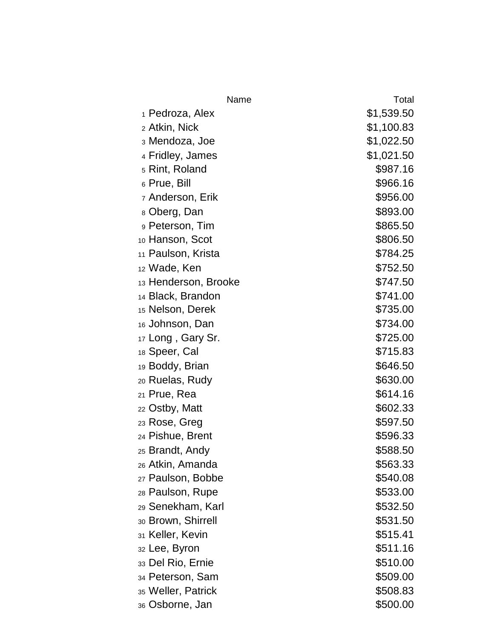| Name                          | Total      |
|-------------------------------|------------|
| 1 Pedroza, Alex               | \$1,539.50 |
| 2 Atkin, Nick                 | \$1,100.83 |
| з Mendoza, Joe                | \$1,022.50 |
| 4 Fridley, James              | \$1,021.50 |
| <sub>5</sub> Rint, Roland     | \$987.16   |
| 6 Prue, Bill                  | \$966.16   |
| <sub>7</sub> Anderson, Erik   | \$956.00   |
| 8 Oberg, Dan                  | \$893.00   |
| 9 Peterson, Tim               | \$865.50   |
| 10 Hanson, Scot               | \$806.50   |
| <sub>11</sub> Paulson, Krista | \$784.25   |
| 12 Wade, Ken                  | \$752.50   |
| 13 Henderson, Brooke          | \$747.50   |
| 14 Black, Brandon             | \$741.00   |
| 15 Nelson, Derek              | \$735.00   |
| 16 Johnson, Dan               | \$734.00   |
| 17 Long, Gary Sr.             | \$725.00   |
| 18 Speer, Cal                 | \$715.83   |
| 19 Boddy, Brian               | \$646.50   |
| 20 Ruelas, Rudy               | \$630.00   |
| 21 Prue, Rea                  | \$614.16   |
| 22 Ostby, Matt                | \$602.33   |
| 23 Rose, Greg                 | \$597.50   |
| 24 Pishue, Brent              | \$596.33   |
| <sub>25</sub> Brandt, Andy    | \$588.50   |
| <sub>26</sub> Atkin, Amanda   | \$563.33   |
| 27 Paulson, Bobbe             | \$540.08   |
| 28 Paulson, Rupe              | \$533.00   |
| 29 Senekham, Karl             | \$532.50   |
| 30 Brown, Shirrell            | \$531.50   |
| 31 Keller, Kevin              | \$515.41   |
| 32 Lee, Byron                 | \$511.16   |
| 33 Del Rio, Ernie             | \$510.00   |
| 34 Peterson, Sam              | \$509.00   |
| 35 Weller, Patrick            | \$508.83   |
| <sub>36</sub> Osborne, Jan    | \$500.00   |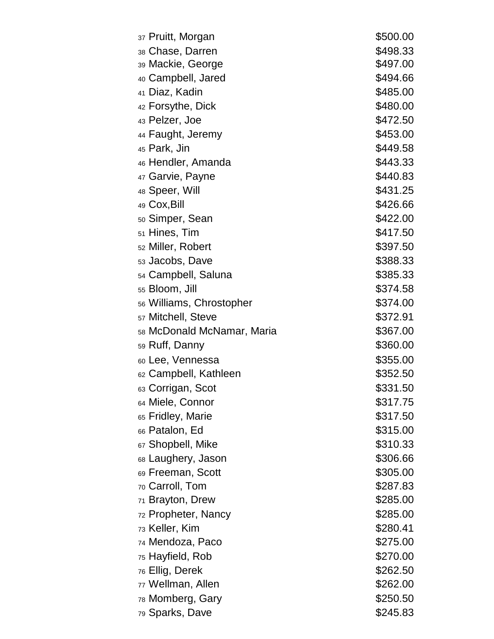| <sub>37</sub> Pruitt, Morgan  | \$500.00 |
|-------------------------------|----------|
| 38 Chase, Darren              | \$498.33 |
| 39 Mackie, George             | \$497.00 |
| 40 Campbell, Jared            | \$494.66 |
| 41 Diaz, Kadin                | \$485.00 |
| 42 Forsythe, Dick             | \$480.00 |
| 43 Pelzer, Joe                | \$472.50 |
| 44 Faught, Jeremy             | \$453.00 |
| 45 Park, Jin                  | \$449.58 |
| 46 Hendler, Amanda            | \$443.33 |
| 47 Garvie, Payne              | \$440.83 |
| 48 Speer, Will                | \$431.25 |
| 49 Cox, Bill                  | \$426.66 |
| <sub>50</sub> Simper, Sean    | \$422.00 |
| 51 Hines, Tim                 | \$417.50 |
| <sub>52</sub> Miller, Robert  | \$397.50 |
| 53 Jacobs, Dave               | \$388.33 |
| 54 Campbell, Saluna           | \$385.33 |
| 55 Bloom, Jill                | \$374.58 |
| 56 Williams, Chrostopher      | \$374.00 |
| <sub>57</sub> Mitchell, Steve | \$372.91 |
| 58 McDonald McNamar, Maria    | \$367.00 |
| <sub>59</sub> Ruff, Danny     | \$360.00 |
| 60 Lee, Vennessa              | \$355.00 |
| 62 Campbell, Kathleen         | \$352.50 |
| 63 Corrigan, Scot             | \$331.50 |
| 64 Miele, Connor              | \$317.75 |
| 65 Fridley, Marie             | \$317.50 |
| 66 Patalon, Ed                | \$315.00 |
| 67 Shopbell, Mike             | \$310.33 |
| 68 Laughery, Jason            | \$306.66 |
| 69 Freeman, Scott             | \$305.00 |
| 70 Carroll, Tom               | \$287.83 |
| 71 Brayton, Drew              | \$285.00 |
| 72 Propheter, Nancy           | \$285.00 |
| 73 Keller, Kim                | \$280.41 |
| <sub>74</sub> Mendoza, Paco   | \$275.00 |
| 75 Hayfield, Rob              | \$270.00 |
| <sub>76</sub> Ellig, Derek    | \$262.50 |
| 77 Wellman, Allen             | \$262.00 |
| <sub>78</sub> Momberg, Gary   | \$250.50 |
| 79 Sparks, Dave               | \$245.83 |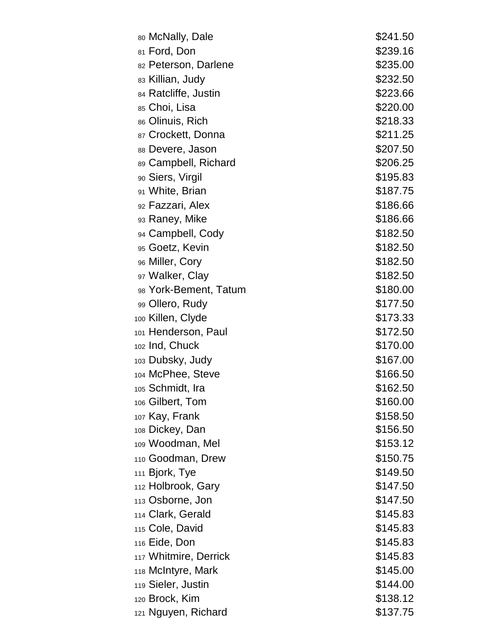| 80 McNally, Dale         | \$241.50 |
|--------------------------|----------|
| 81 Ford, Don             | \$239.16 |
| 82 Peterson, Darlene     | \$235.00 |
| 83 Killian, Judy         | \$232.50 |
| 84 Ratcliffe, Justin     | \$223.66 |
| 85 Choi, Lisa            | \$220.00 |
| 86 Olinuis, Rich         | \$218.33 |
| 87 Crockett, Donna       | \$211.25 |
| 88 Devere, Jason         | \$207.50 |
| 89 Campbell, Richard     | \$206.25 |
| 90 Siers, Virgil         | \$195.83 |
| 91 White, Brian          | \$187.75 |
| 92 Fazzari, Alex         | \$186.66 |
| 93 Raney, Mike           | \$186.66 |
| 94 Campbell, Cody        | \$182.50 |
| 95 Goetz, Kevin          | \$182.50 |
| 96 Miller, Cory          | \$182.50 |
| 97 Walker, Clay          | \$182.50 |
| 98 York-Bement, Tatum    | \$180.00 |
| 99 Ollero, Rudy          | \$177.50 |
| 100 Killen, Clyde        | \$173.33 |
| 101 Henderson, Paul      | \$172.50 |
| 102 Ind, Chuck           | \$170.00 |
| 103 Dubsky, Judy         | \$167.00 |
| 104 McPhee, Steve        | \$166.50 |
| 105 Schmidt, Ira         | \$162.50 |
| 106 Gilbert, Tom         | \$160.00 |
| 107 Kay, Frank           | \$158.50 |
| 108 Dickey, Dan          | \$156.50 |
| 109 Woodman, Mel         | \$153.12 |
| 110 Goodman, Drew        | \$150.75 |
| 111 Bjork, Tye           | \$149.50 |
| 112 Holbrook, Gary       | \$147.50 |
| 113 Osborne, Jon         | \$147.50 |
| 114 Clark, Gerald        | \$145.83 |
| 115 Cole, David          | \$145.83 |
| <sub>116</sub> Eide, Don | \$145.83 |
| 117 Whitmire, Derrick    | \$145.83 |
| 118 McIntyre, Mark       | \$145.00 |
| 119 Sieler, Justin       | \$144.00 |
| 120 Brock, Kim           | \$138.12 |
| 121 Nguyen, Richard      | \$137.75 |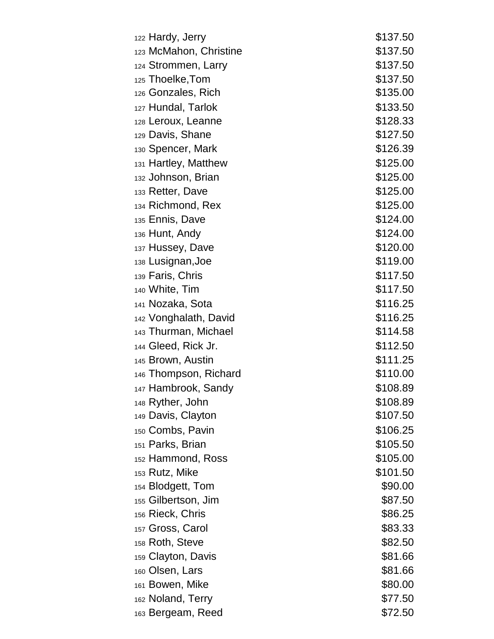| 122 Hardy, Jerry             | \$137.50 |
|------------------------------|----------|
| 123 McMahon, Christine       | \$137.50 |
| 124 Strommen, Larry          | \$137.50 |
| 125 Thoelke, Tom             | \$137.50 |
| 126 Gonzales, Rich           | \$135.00 |
| 127 Hundal, Tarlok           | \$133.50 |
| 128 Leroux, Leanne           | \$128.33 |
| 129 Davis, Shane             | \$127.50 |
| 130 Spencer, Mark            | \$126.39 |
| 131 Hartley, Matthew         | \$125.00 |
| 132 Johnson, Brian           | \$125.00 |
| 133 Retter, Dave             | \$125.00 |
| 134 Richmond, Rex            | \$125.00 |
| 135 Ennis, Dave              | \$124.00 |
| 136 Hunt, Andy               | \$124.00 |
| 137 Hussey, Dave             | \$120.00 |
| 138 Lusignan, Joe            | \$119.00 |
| 139 Faris, Chris             | \$117.50 |
| 140 White, Tim               | \$117.50 |
| 141 Nozaka, Sota             | \$116.25 |
| 142 Vonghalath, David        | \$116.25 |
| 143 Thurman, Michael         | \$114.58 |
| 144 Gleed, Rick Jr.          | \$112.50 |
| 145 Brown, Austin            | \$111.25 |
| 146 Thompson, Richard        | \$110.00 |
| 147 Hambrook, Sandy          | \$108.89 |
| <sub>148</sub> Ryther, John  | \$108.89 |
| 149 Davis, Clayton           | \$107.50 |
| 150 Combs, Pavin             | \$106.25 |
| 151 Parks, Brian             | \$105.50 |
| <sub>152</sub> Hammond, Ross | \$105.00 |
| 153 Rutz, Mike               | \$101.50 |
| 154 Blodgett, Tom            | \$90.00  |
| 155 Gilbertson, Jim          | \$87.50  |
| 156 Rieck, Chris             | \$86.25  |
| 157 Gross, Carol             | \$83.33  |
| 158 Roth, Steve              | \$82.50  |
| 159 Clayton, Davis           | \$81.66  |
| 160 Olsen, Lars              | \$81.66  |
| 161 Bowen, Mike              | \$80.00  |
| 162 Noland, Terry            | \$77.50  |
| 163 Bergeam, Reed            | \$72.50  |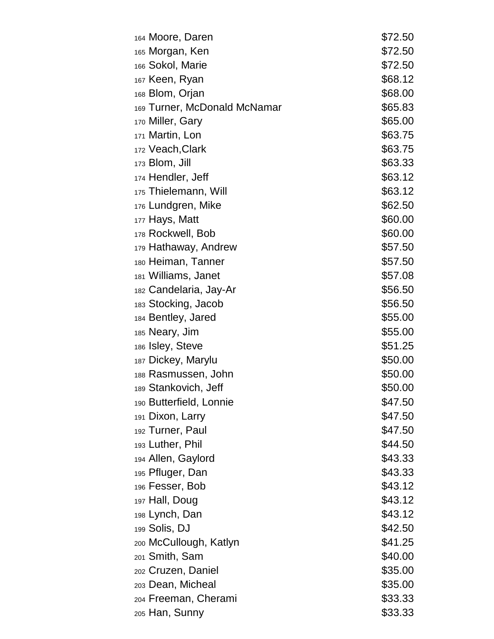| 164 Moore, Daren             | \$72.50 |
|------------------------------|---------|
| 165 Morgan, Ken              | \$72.50 |
| 166 Sokol, Marie             | \$72.50 |
| 167 Keen, Ryan               | \$68.12 |
| <sub>168</sub> Blom, Orjan   | \$68.00 |
| 169 Turner, McDonald McNamar | \$65.83 |
| 170 Miller, Gary             | \$65.00 |
| 171 Martin, Lon              | \$63.75 |
| 172 Veach, Clark             | \$63.75 |
| $173$ Blom, Jill             | \$63.33 |
| 174 Hendler, Jeff            | \$63.12 |
| 175 Thielemann, Will         | \$63.12 |
| 176 Lundgren, Mike           | \$62.50 |
| 177 Hays, Matt               | \$60.00 |
| 178 Rockwell, Bob            | \$60.00 |
| 179 Hathaway, Andrew         | \$57.50 |
| 180 Heiman, Tanner           | \$57.50 |
| 181 Williams, Janet          | \$57.08 |
| 182 Candelaria, Jay-Ar       | \$56.50 |
| 183 Stocking, Jacob          | \$56.50 |
| 184 Bentley, Jared           | \$55.00 |
| 185 Neary, Jim               | \$55.00 |
| 186 Isley, Steve             | \$51.25 |
| 187 Dickey, Marylu           | \$50.00 |
| 188 Rasmussen, John          | \$50.00 |
| 189 Stankovich, Jeff         | \$50.00 |
| 190 Butterfield, Lonnie      | \$47.50 |
| 191 Dixon, Larry             | \$47.50 |
| 192 Turner, Paul             | \$47.50 |
| 193 Luther, Phil             | \$44.50 |
| 194 Allen, Gaylord           | \$43.33 |
| 195 Pfluger, Dan             | \$43.33 |
| 196 Fesser, Bob              | \$43.12 |
| 197 Hall, Doug               | \$43.12 |
| 198 Lynch, Dan               | \$43.12 |
| 199 Solis, DJ                | \$42.50 |
| 200 McCullough, Katlyn       | \$41.25 |
| <sub>201</sub> Smith, Sam    | \$40.00 |
| 202 Cruzen, Daniel           | \$35.00 |
| 203 Dean, Micheal            | \$35.00 |
| 204 Freeman, Cherami         | \$33.33 |
| 205 Han, Sunny               | \$33.33 |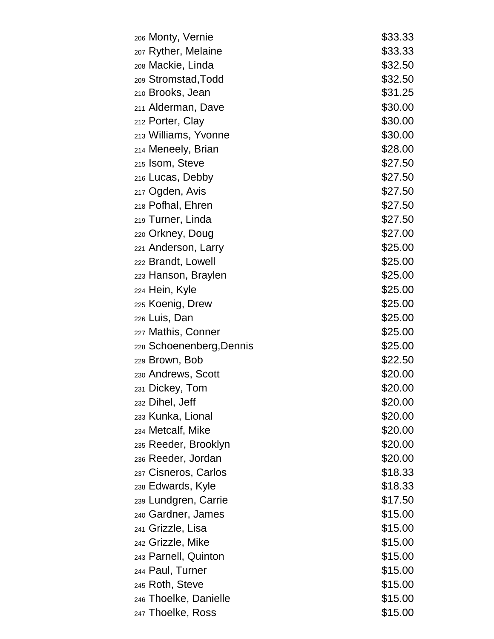| <sub>206</sub> Monty, Vernie | \$33.33 |
|------------------------------|---------|
| 207 Ryther, Melaine          | \$33.33 |
| 208 Mackie, Linda            | \$32.50 |
| 209 Stromstad, Todd          | \$32.50 |
| 210 Brooks, Jean             | \$31.25 |
| 211 Alderman, Dave           | \$30.00 |
| 212 Porter, Clay             | \$30.00 |
| 213 Williams, Yvonne         | \$30.00 |
| 214 Meneely, Brian           | \$28.00 |
| 215 Isom, Steve              | \$27.50 |
| 216 Lucas, Debby             | \$27.50 |
| 217 Ogden, Avis              | \$27.50 |
| 218 Pofhal, Ehren            | \$27.50 |
| 219 Turner, Linda            | \$27.50 |
| 220 Orkney, Doug             | \$27.00 |
| 221 Anderson, Larry          | \$25.00 |
| 222 Brandt, Lowell           | \$25.00 |
| 223 Hanson, Braylen          | \$25.00 |
| 224 Hein, Kyle               | \$25.00 |
| 225 Koenig, Drew             | \$25.00 |
| 226 Luis, Dan                | \$25.00 |
| 227 Mathis, Conner           | \$25.00 |
| 228 Schoenenberg, Dennis     | \$25.00 |
| 229 Brown, Bob               | \$22.50 |
| 230 Andrews, Scott           | \$20.00 |
| 231 Dickey, Tom              | \$20.00 |
| 232 Dihel, Jeff              | \$20.00 |
| 233 Kunka, Lional            | \$20.00 |
| 234 Metcalf, Mike            | \$20.00 |
| 235 Reeder, Brooklyn         | \$20.00 |
| 236 Reeder, Jordan           | \$20.00 |
| 237 Cisneros, Carlos         | \$18.33 |
| 238 Edwards, Kyle            | \$18.33 |
| 239 Lundgren, Carrie         | \$17.50 |
| 240 Gardner, James           | \$15.00 |
| 241 Grizzle, Lisa            | \$15.00 |
| 242 Grizzle, Mike            | \$15.00 |
| 243 Parnell, Quinton         | \$15.00 |
| 244 Paul, Turner             | \$15.00 |
| 245 Roth, Steve              | \$15.00 |
| 246 Thoelke, Danielle        | \$15.00 |
| 247 Thoelke, Ross            | \$15.00 |